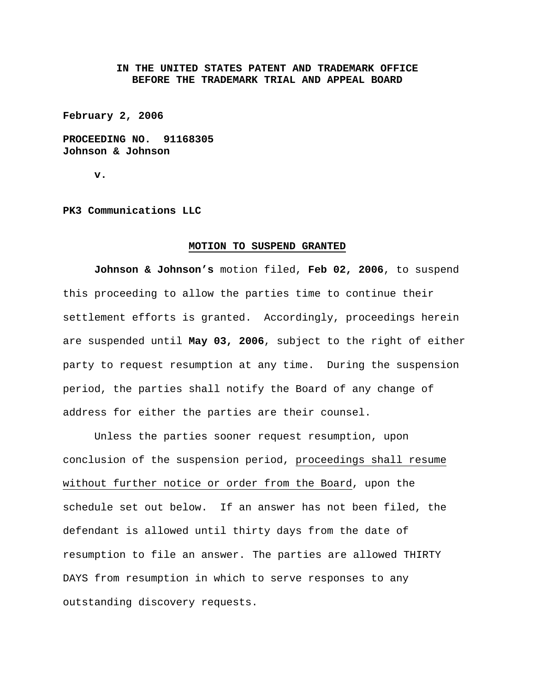## **IN THE UNITED STATES PATENT AND TRADEMARK OFFICE BEFORE THE TRADEMARK TRIAL AND APPEAL BOARD**

**February 2, 2006** 

**PROCEEDING NO. 91168305 Johnson & Johnson** 

**v.** 

**PK3 Communications LLC** 

## **MOTION TO SUSPEND GRANTED**

**Johnson & Johnson's** motion filed, **Feb 02, 2006**, to suspend this proceeding to allow the parties time to continue their settlement efforts is granted. Accordingly, proceedings herein are suspended until **May 03, 2006**, subject to the right of either party to request resumption at any time. During the suspension period, the parties shall notify the Board of any change of address for either the parties are their counsel.

Unless the parties sooner request resumption, upon conclusion of the suspension period, proceedings shall resume without further notice or order from the Board, upon the schedule set out below. If an answer has not been filed, the defendant is allowed until thirty days from the date of resumption to file an answer. The parties are allowed THIRTY DAYS from resumption in which to serve responses to any outstanding discovery requests.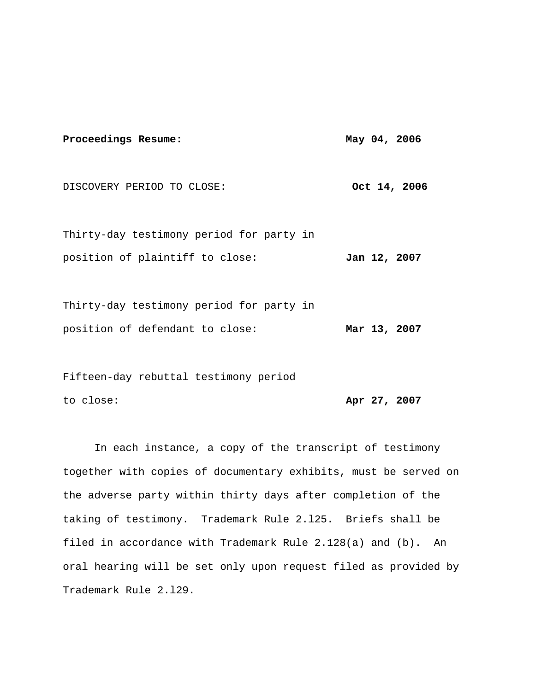## Proceedings Resume: May 04, 2006 DISCOVERY PERIOD TO CLOSE: 0ct 14, 2006 Thirty-day testimony period for party in position of plaintiff to close: **Jan 12, 2007**

Thirty-day testimony period for party in position of defendant to close: **Mar 13, 2007**

Fifteen-day rebuttal testimony period to close: **Apr 27, 2007**

 In each instance, a copy of the transcript of testimony together with copies of documentary exhibits, must be served on the adverse party within thirty days after completion of the taking of testimony. Trademark Rule 2.l25. Briefs shall be filed in accordance with Trademark Rule 2.128(a) and (b). An oral hearing will be set only upon request filed as provided by Trademark Rule 2.l29.